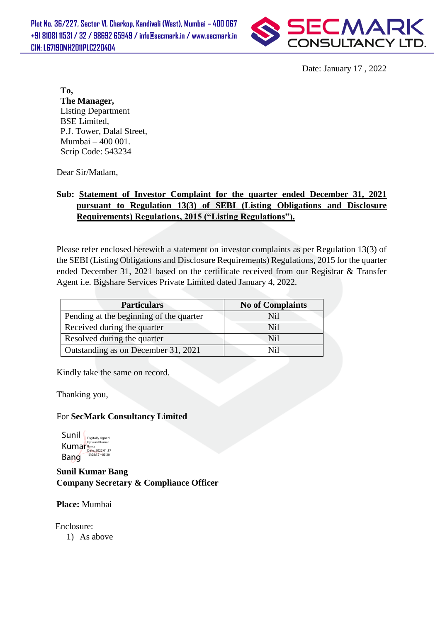

Date: January 17 , 2022

**To, The Manager,** Listing Department BSE Limited, P.J. Tower, Dalal Street, Mumbai – 400 001. Scrip Code: 543234

Dear Sir/Madam,

## **Sub: Statement of Investor Complaint for the quarter ended December 31, 2021 pursuant to Regulation 13(3) of SEBI (Listing Obligations and Disclosure Requirements) Regulations, 2015 ("Listing Regulations").**

Please refer enclosed herewith a statement on investor complaints as per Regulation 13(3) of the SEBI (Listing Obligations and Disclosure Requirements) Regulations, 2015 for the quarter ended December 31, 2021 based on the certificate received from our Registrar & Transfer Agent i.e. Bigshare Services Private Limited dated January 4, 2022.

| <b>Particulars</b>                      | <b>No of Complaints</b> |  |
|-----------------------------------------|-------------------------|--|
| Pending at the beginning of the quarter | Ni1                     |  |
| Received during the quarter             | Nil                     |  |
| Resolved during the quarter             | Nil                     |  |
| Outstanding as on December 31, 2021     | Nil                     |  |

Kindly take the same on record.

Thanking you,

## For **SecMark Consultancy Limited**

$$
\begin{array}{l|l} \text{Sunil} & \text{of the 1000} \\ \text{By Sunil Kumar} & \text{Kuma} \\ \text{Kuma} & \text{Data: 202.01.17} \\ \text{Bang} & \text{508:12+05'30} \end{array}
$$

**Sunil Kumar Bang Company Secretary & Compliance Officer**

**Place:** Mumbai

Enclosure:

1) As above